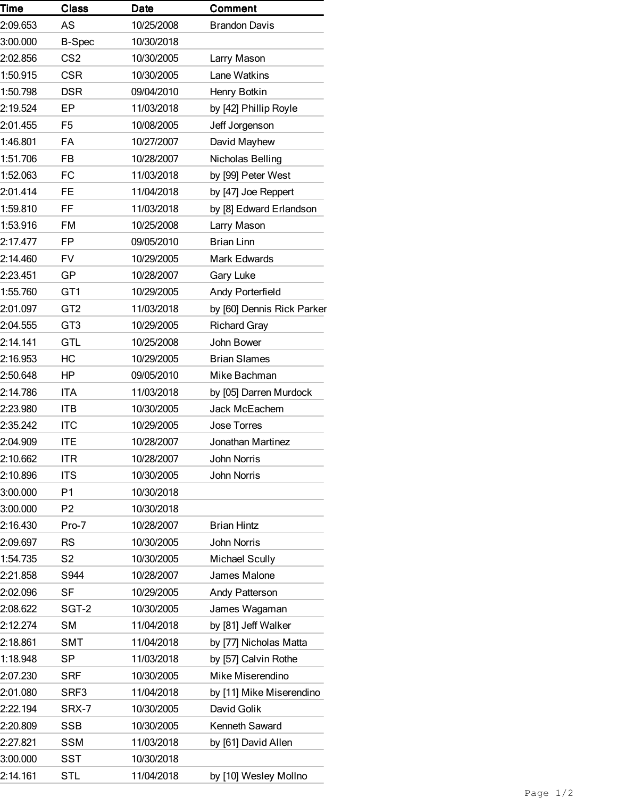| Time     | <b>Class</b>    | <b>Date</b> | Comment                    |
|----------|-----------------|-------------|----------------------------|
| 2:09.653 | AS              | 10/25/2008  | <b>Brandon Davis</b>       |
| 3:00.000 | <b>B-Spec</b>   | 10/30/2018  |                            |
| 2:02.856 | CS <sub>2</sub> | 10/30/2005  | Larry Mason                |
| 1:50.915 | <b>CSR</b>      | 10/30/2005  | Lane Watkins               |
| 1:50.798 | <b>DSR</b>      | 09/04/2010  | Henry Botkin               |
| 2:19.524 | EP              | 11/03/2018  | by [42] Phillip Royle      |
| 2:01.455 | F <sub>5</sub>  | 10/08/2005  | Jeff Jorgenson             |
| 1:46.801 | FA              | 10/27/2007  | David Mayhew               |
| 1:51.706 | <b>FB</b>       | 10/28/2007  | Nicholas Belling           |
| 1:52.063 | <b>FC</b>       | 11/03/2018  | by [99] Peter West         |
| 2:01.414 | <b>FE</b>       | 11/04/2018  | by [47] Joe Reppert        |
| 1:59.810 | FF              | 11/03/2018  | by [8] Edward Erlandson    |
| 1:53.916 | <b>FM</b>       | 10/25/2008  | Larry Mason                |
| 2:17.477 | FP              | 09/05/2010  | <b>Brian Linn</b>          |
| 2:14.460 | <b>FV</b>       | 10/29/2005  | <b>Mark Edwards</b>        |
| 2:23.451 | GP              | 10/28/2007  | Gary Luke                  |
| 1:55.760 | GT1             | 10/29/2005  | Andy Porterfield           |
| 2:01.097 | GT <sub>2</sub> | 11/03/2018  | by [60] Dennis Rick Parker |
| 2:04.555 | GT <sub>3</sub> | 10/29/2005  | <b>Richard Gray</b>        |
| 2:14.141 | <b>GTL</b>      | 10/25/2008  | John Bower                 |
| 2:16.953 | НC              | 10/29/2005  | <b>Brian Slames</b>        |
| 2:50.648 | ΗP              | 09/05/2010  | Mike Bachman               |
| 2:14.786 | <b>ITA</b>      | 11/03/2018  | by [05] Darren Murdock     |
| 2:23.980 | <b>ITB</b>      | 10/30/2005  | Jack McEachem              |
| 2:35.242 | <b>ITC</b>      | 10/29/2005  | <b>Jose Torres</b>         |
| 2:04.909 | ITE             | 10/28/2007  | Jonathan Martinez          |
| 2:10.662 | <b>ITR</b>      | 10/28/2007  | <b>John Norris</b>         |
| 2:10.896 | <b>ITS</b>      | 10/30/2005  | <b>John Norris</b>         |
| 3:00.000 | P1              | 10/30/2018  |                            |
| 3:00.000 | P <sub>2</sub>  | 10/30/2018  |                            |
| 2:16.430 | Pro-7           | 10/28/2007  | <b>Brian Hintz</b>         |
| 2:09.697 | RS              | 10/30/2005  | <b>John Norris</b>         |
| 1:54.735 | S <sub>2</sub>  | 10/30/2005  | <b>Michael Scully</b>      |
| 2:21.858 | S944            | 10/28/2007  | James Malone               |
| 2:02.096 | <b>SF</b>       | 10/29/2005  | Andy Patterson             |
| 2:08.622 | SGT-2           | 10/30/2005  | James Wagaman              |
| 2:12.274 | <b>SM</b>       | 11/04/2018  | by [81] Jeff Walker        |
| 2:18.861 | <b>SMT</b>      | 11/04/2018  | by [77] Nicholas Matta     |
| 1:18.948 | SP              | 11/03/2018  | by [57] Calvin Rothe       |
| 2:07.230 | <b>SRF</b>      | 10/30/2005  | Mike Miserendino           |
| 2:01.080 | SRF3            | 11/04/2018  | by [11] Mike Miserendino   |
| 2:22.194 | SRX-7           | 10/30/2005  | David Golik                |
| 2:20.809 | <b>SSB</b>      | 10/30/2005  | Kenneth Saward             |
| 2:27.821 | <b>SSM</b>      | 11/03/2018  | by [61] David Allen        |
| 3:00.000 | SST             | 10/30/2018  |                            |
| 2:14.161 | <b>STL</b>      | 11/04/2018  | by [10] Wesley Mollno      |